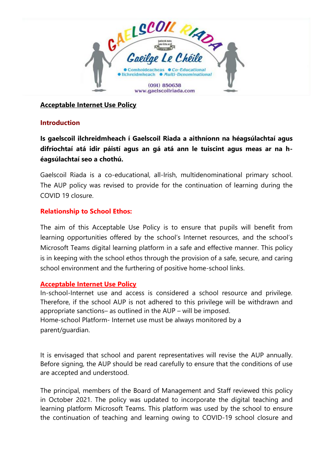

**Acceptable Internet Use Policy**

### **Introduction**

**Is gaelscoil ilchreidmheach í Gaelscoil Riada a aithníonn na héagsúlachtaí agus difríochtaí atá idir páistí agus an gá atá ann le tuiscint agus meas ar na héagsúlachtaí seo a chothú.**

Gaelscoil Riada is a co-educational, all-Irish, multidenominational primary school. The AUP policy was revised to provide for the continuation of learning during the COVID 19 closure.

## **Relationship to School Ethos:**

The aim of this Acceptable Use Policy is to ensure that pupils will benefit from learning opportunities offered by the school's Internet resources, and the school's Microsoft Teams digital learning platform in a safe and effective manner. This policy is in keeping with the school ethos through the provision of a safe, secure, and caring school environment and the furthering of positive home-school links.

### **Acceptable Internet Use Policy**

In-school-Internet use and access is considered a school resource and privilege. Therefore, if the school AUP is not adhered to this privilege will be withdrawn and appropriate sanctions– as outlined in the AUP – will be imposed. Home-school Platform- Internet use must be always monitored by a parent/guardian.

It is envisaged that school and parent representatives will revise the AUP annually. Before signing, the AUP should be read carefully to ensure that the conditions of use are accepted and understood.

The principal, members of the Board of Management and Staff reviewed this policy in October 2021. The policy was updated to incorporate the digital teaching and learning platform Microsoft Teams. This platform was used by the school to ensure the continuation of teaching and learning owing to COVID-19 school closure and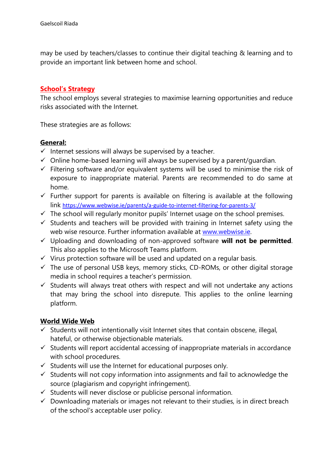may be used by teachers/classes to continue their digital teaching & learning and to provide an important link between home and school.

### **School's Strategy**

The school employs several strategies to maximise learning opportunities and reduce risks associated with the Internet.

These strategies are as follows:

#### **General:**

- $\checkmark$  Internet sessions will always be supervised by a teacher.
- $\checkmark$  Online home-based learning will always be supervised by a parent/quardian.
- $\checkmark$  Filtering software and/or equivalent systems will be used to minimise the risk of exposure to inappropriate material. Parents are recommended to do same at home.
- $\checkmark$  Further support for parents is available on filtering is available at the following link <https://www.webwise.ie/parents/a-guide-to-internet-filtering-for-parents-3/>
- $\checkmark$  The school will regularly monitor pupils' Internet usage on the school premises.
- $\checkmark$  Students and teachers will be provided with training in Internet safety using the web wise resource. Further information available at [www.webwise.ie.](http://www.webwise.ie/)
- ✓ Uploading and downloading of non-approved software **will not be permitted**. This also applies to the Microsoft Teams platform.
- $\checkmark$  Virus protection software will be used and updated on a regular basis.
- $\checkmark$  The use of personal USB keys, memory sticks, CD-ROMs, or other digital storage media in school requires a teacher's permission.
- $\checkmark$  Students will always treat others with respect and will not undertake any actions that may bring the school into disrepute. This applies to the online learning platform.

### **World Wide Web**

- $\checkmark$  Students will not intentionally visit Internet sites that contain obscene, illegal, hateful, or otherwise objectionable materials.
- $\checkmark$  Students will report accidental accessing of inappropriate materials in accordance with school procedures.
- $\checkmark$  Students will use the Internet for educational purposes only.
- $\checkmark$  Students will not copy information into assignments and fail to acknowledge the source (plagiarism and copyright infringement).
- $\checkmark$  Students will never disclose or publicise personal information.
- $\checkmark$  Downloading materials or images not relevant to their studies, is in direct breach of the school's acceptable user policy.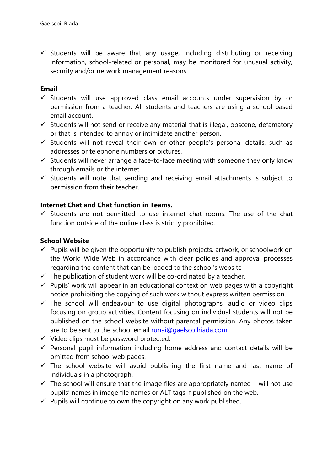$\checkmark$  Students will be aware that any usage, including distributing or receiving information, school-related or personal, may be monitored for unusual activity, security and/or network management reasons

# **Email**

- $\checkmark$  Students will use approved class email accounts under supervision by or permission from a teacher. All students and teachers are using a school-based email account.
- $\checkmark$  Students will not send or receive any material that is illegal, obscene, defamatory or that is intended to annoy or intimidate another person.
- $\checkmark$  Students will not reveal their own or other people's personal details, such as addresses or telephone numbers or pictures.
- $\checkmark$  Students will never arrange a face-to-face meeting with someone they only know through emails or the internet.
- $\checkmark$  Students will note that sending and receiving email attachments is subject to permission from their teacher.

# **Internet Chat and Chat function in Teams.**

✓ Students are not permitted to use internet chat rooms. The use of the chat function outside of the online class is strictly prohibited.

# **School Website**

- $\checkmark$  Pupils will be given the opportunity to publish projects, artwork, or schoolwork on the World Wide Web in accordance with clear policies and approval processes regarding the content that can be loaded to the school's website
- $\checkmark$  The publication of student work will be co-ordinated by a teacher.
- $\checkmark$  Pupils' work will appear in an educational context on web pages with a copyright notice prohibiting the copying of such work without express written permission.
- $\checkmark$  The school will endeavour to use digital photographs, audio or video clips focusing on group activities. Content focusing on individual students will not be published on the school website without parental permission. Any photos taken are to be sent to the school email [runai@gaelscoilriada.com.](mailto:runai@gaelscoilriada.com)
- $\checkmark$  Video clips must be password protected.
- $\checkmark$  Personal pupil information including home address and contact details will be omitted from school web pages.
- $\checkmark$  The school website will avoid publishing the first name and last name of individuals in a photograph.
- $\checkmark$  The school will ensure that the image files are appropriately named will not use pupils' names in image file names or ALT tags if published on the web.
- $\checkmark$  Pupils will continue to own the copyright on any work published.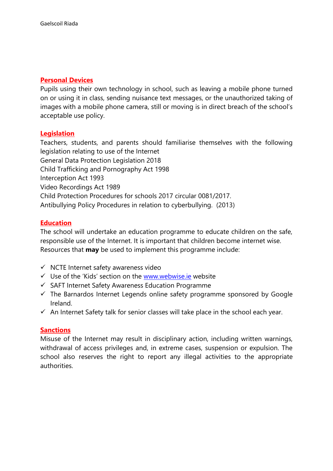### **Personal Devices**

Pupils using their own technology in school, such as leaving a mobile phone turned on or using it in class, sending nuisance text messages, or the unauthorized taking of images with a mobile phone camera, still or moving is in direct breach of the school's acceptable use policy.

### **Legislation**

Teachers, students, and parents should familiarise themselves with the following legislation relating to use of the Internet General Data Protection Legislation 2018 Child Trafficking and Pornography Act 1998 Interception Act 1993 Video Recordings Act 1989 Child Protection Procedures for schools 2017 circular 0081/2017. Antibullying Policy Procedures in relation to cyberbullying. (2013)

## **Education**

The school will undertake an education programme to educate children on the safe, responsible use of the Internet. It is important that children become internet wise. Resources that **may** be used to implement this programme include:

- ✓ NCTE Internet safety awareness video
- $\checkmark$  Use of the 'Kids' section on the [www.webwise.ie](http://www.webwise.ie/) website
- ✓ SAFT Internet Safety Awareness Education Programme
- $\checkmark$  The Barnardos Internet Legends online safety programme sponsored by Google Ireland.
- $\checkmark$  An Internet Safety talk for senior classes will take place in the school each year.

### **Sanctions**

Misuse of the Internet may result in disciplinary action, including written warnings, withdrawal of access privileges and, in extreme cases, suspension or expulsion. The school also reserves the right to report any illegal activities to the appropriate authorities.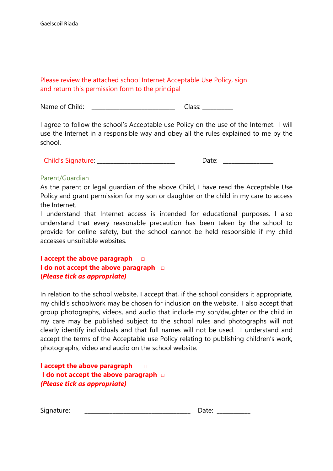# Please review the attached school Internet Acceptable Use Policy, sign and return this permission form to the principal

Name of Child: \_\_\_\_\_\_\_\_\_\_\_\_\_\_\_\_\_\_\_\_\_\_\_\_\_\_\_\_\_\_\_\_\_\_ Class: \_\_\_\_\_\_\_\_\_\_\_

I agree to follow the school's Acceptable use Policy on the use of the Internet. I will use the Internet in a responsible way and obey all the rules explained to me by the school.

#### Parent/Guardian

As the parent or legal guardian of the above Child, I have read the Acceptable Use Policy and grant permission for my son or daughter or the child in my care to access the Internet.

I understand that Internet access is intended for educational purposes. I also understand that every reasonable precaution has been taken by the school to provide for online safety, but the school cannot be held responsible if my child accesses unsuitable websites.

# **I accept the above paragraph □ I do not accept the above paragraph □ (***Please tick as appropriate)*

In relation to the school website, I accept that, if the school considers it appropriate, my child's schoolwork may be chosen for inclusion on the website. I also accept that group photographs, videos, and audio that include my son/daughter or the child in my care may be published subject to the school rules and photographs will not clearly identify individuals and that full names will not be used. I understand and accept the terms of the Acceptable use Policy relating to publishing children's work, photographs, video and audio on the school website.

**I accept the above paragraph □ I do not accept the above paragraph □**  *(Please tick as appropriate)*

| Signature: |  |  |
|------------|--|--|
|            |  |  |
|            |  |  |
|            |  |  |